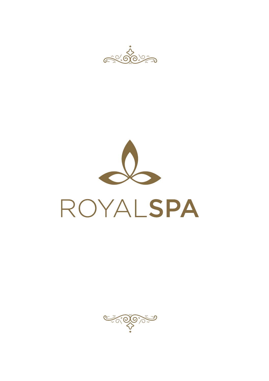



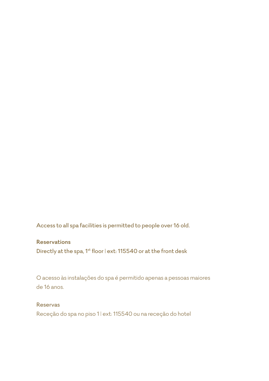Access to all spa facilities is permitted to people over 16 old.

#### **Reservations**

Directly at the spa, 1<sup>st</sup> floor | ext: 115540 or at the front desk

O acesso às instalações do spa é permitido apenas a pessoas maiores de 16 anos.

#### Reservas

Receção do spa no piso 1 | ext: 115540 ou na receção do hotel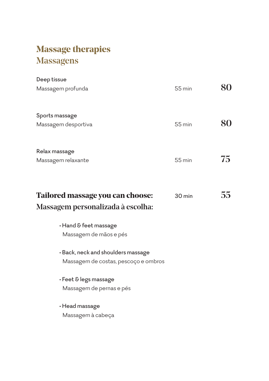# **Massage therapies** Massagens

| Deep tissue                                                                  |        |    |
|------------------------------------------------------------------------------|--------|----|
| Massagem profunda                                                            | 55 min | 80 |
| Sports massage                                                               |        |    |
| Massagem desportiva                                                          | 55 min | 80 |
| Relax massage                                                                |        |    |
| Massagem relaxante                                                           | 55 min | 75 |
|                                                                              |        | 55 |
| <b>Tailored massage you can choose:</b><br>Massagem personalizada à escolha: | 30 min |    |
| $\cdot$ Hand & feet massage<br>Massagem de mãos e pés                        |        |    |
| • Back, neck and shoulders massage<br>Massagem de costas, pescoço e ombros   |        |    |
| · Feet & legs massage<br>Massagem de pernas e pés                            |        |    |
| $\cdot$ Head massage<br>Massagem à cabeça                                    |        |    |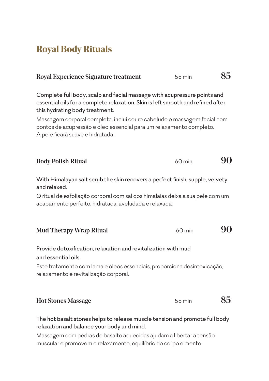## **Royal Body Rituals**

| <b>Royal Experience Signature treatment</b>                                                                                                                                                                                                                                                                                                                                         | 55 min   | 85 |
|-------------------------------------------------------------------------------------------------------------------------------------------------------------------------------------------------------------------------------------------------------------------------------------------------------------------------------------------------------------------------------------|----------|----|
| Complete full body, scalp and facial massage with acupressure points and<br>essential oils for a complete relaxation. Skin is left smooth and refined after<br>this hydrating body treatment.<br>Massagem corporal completa, inclui couro cabeludo e massagem facial com<br>pontos de acupressão e óleo essencial para um relaxamento completo.<br>A pele ficará suave e hidratada. |          |    |
| <b>Body Polish Ritual</b>                                                                                                                                                                                                                                                                                                                                                           | $60$ min | 90 |
| With Himalayan salt scrub the skin recovers a perfect finish, supple, velvety<br>and relaxed.<br>O ritual de esfoliação corporal com sal dos himalaias deixa a sua pele com um<br>acabamento perfeito, hidratada, aveludada e relaxada.                                                                                                                                             |          |    |
| <b>Mud Therapy Wrap Ritual</b>                                                                                                                                                                                                                                                                                                                                                      | $60$ min |    |
| Provide detoxification, relaxation and revitalization with mud<br>and essential oils.<br>Este tratamento com lama e óleos essenciais, proporciona desintoxicação,<br>relaxamento e revitalização corporal.                                                                                                                                                                          |          |    |

| <b>Hot Stones Massage</b> | 55 min | 85 |
|---------------------------|--------|----|
|---------------------------|--------|----|

The hot basalt stones helps to release muscle tension and promote full body relaxation and balance your body and mind.

Massagem com pedras de basalto aquecidas ajudam a libertar a tensão muscular e promovem o relaxamento, equilíbrio do corpo e mente.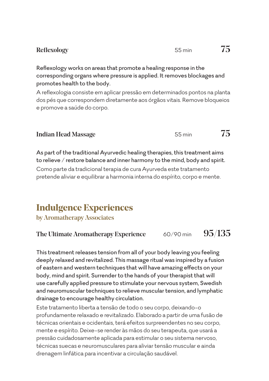Reflexology works on areas that promote a healing response in the corresponding organs where pressure is applied. It removes blockages and promotes health to the body.

A reflexologia consiste em aplicar pressão em determinados pontos na planta dos pés que correspondem diretamente aos órgãos vitais. Remove bloqueios e promove a saúde do corpo.

| <b>Indian Head Massage</b> | 55 min | 75 |
|----------------------------|--------|----|
|----------------------------|--------|----|

As part of the traditional Ayurvedic healing therapies, this treatment aims to relieve / restore balance and inner harmony to the mind, body and spirit. Como parte da tradicional terapia de cura Ayurveda este tratamento pretende aliviar e equilibrar a harmonia interna do espírito, corpo e mente.

## **Indulgence Experiences**

by Aromatherapy Associates

#### The Ultimate Aromatherapy Experience 60/90 min  $95/135$

This treatment releases tension from all of your body leaving you feeling deeply relaxed and revitalized. This massage ritual was inspired by a fusion of eastern and western techniques that will have amazing effects on your body, mind and spirit. Surrender to the hands of your therapist that will use carefully applied pressure to stimulate your nervous system, Swedish and neuromuscular techniques to relieve muscular tension, and lymphatic drainage to encourage healthy circulation.

Este tratamento liberta a tensão de todo o seu corpo, deixando-o profundamente relaxado e revitalizado. Elaborado a partir de uma fusão de técnicas orientais e ocidentais, terá efeitos surpreendentes no seu corpo, mente e espírito. Deixe-se render às mãos do seu terapeuta, que usará a pressão cuidadosamente aplicada para estimular o seu sistema nervoso, técnicas suecas e neuromusculares para aliviar tensão muscular e ainda drenagem linfática para incentivar a circulação saudável.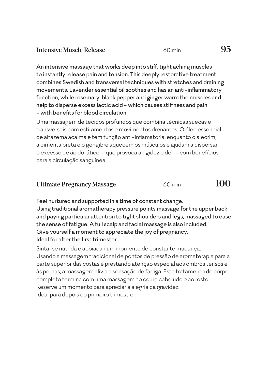| 95<br><b>Intensive Muscle Release</b><br>$60 \,\mathrm{min}$ |
|--------------------------------------------------------------|
|--------------------------------------------------------------|

An intensive massage that works deep into stiff, tight aching muscles to instantly release pain and tension. This deeply restorative treatment combines Swedish and transversal techniques with stretches and draining movements. Lavender essential oil soothes and has an anti-inflammatory function, while rosemary, black pepper and ginger warm the muscles and help to disperse excess lactic acid - which causes stiffness and pain - with benefits for blood circulation.

Uma massagem de tecidos profundos que combina técnicas suecas e transversais com estiramentos e movimentos drenantes. O óleo essencial de alfazema acalma e tem função anti-inflamatória, enquanto o alecrim, a pimenta preta e o gengibre aquecem os músculos e ajudam a dispersar o excesso de ácido lático – que provoca a rigidez e dor – com benefícios para a circulação sanguínea.

| <b>Ultimate Pregnancy Massage</b> | $60 \,\mathrm{min}$ | 100 |
|-----------------------------------|---------------------|-----|
|-----------------------------------|---------------------|-----|

Feel nurtured and supported in a time of constant change. Using traditional aromatherapy pressure points massage for the upper back and paying particular attention to tight shoulders and legs, massaged to ease the sense of fatigue. A full scalp and facial massage is also included. Give yourself a moment to appreciate the joy of pregnancy. Ideal for after the first trimester.

Sinta-se nutrida e apoiada num momento de constante mudança. Usando a massagem tradicional de pontos de pressão de aromaterapia para a parte superior das costas e prestando atenção especial aos ombros tensos e às pernas, a massagem alivia a sensação de fadiga. Este tratamento de corpo completo termina com uma massagem ao couro cabeludo e ao rosto. Reserve um momento para apreciar a alegria da gravidez. Ideal para depois do primeiro trimestre.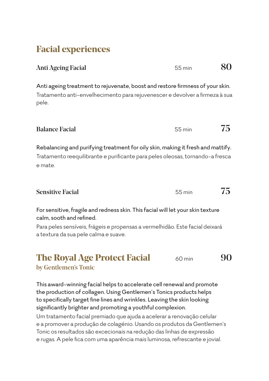### **Facial experiences**

Anti Ageing Facial 60 and 55 min 60 and 55 min 60 and 55 min 60 and 55 min 60 and 55 min 60 and 55 min 60 and 55 min 60 and 55 min 60 and 55 min 60 and 55 min 60 and 55 min 60 and 55 min 60 and 55 min 60 and 55 min 60 and

Anti ageing treatment to rejuvenate, boost and restore firmness of your skin. Tratamento anti-envelhecimento para rejuvenescer e devolver a firmeza à sua pele.

Balance Facial 55 min  $75$ 

Rebalancing and purifying treatment for oily skin, making it fresh and mattify. Tratamento reequilibrante e purificante para peles oleosas, tornando-a fresca e mate.

Sensitive Facial 55 min  $75$ 

For sensitive, fragile and redness skin. This facial will let your skin texture calm, sooth and refined.

Para peles sensíveis, frágeis e propensas a vermelhidão. Este facial deixará a textura da sua pele calma e suave.

**The Royal Age Protect Facial** 60 min 90 by Gentlemen's Tonic

This award-winning facial helps to accelerate cell renewal and promote the production of collagen. Using Gentlemen's Tonics products helps to specifically target fine lines and wrinkles. Leaving the skin looking significantly brighter and promoting a youthful complexion. Um tratamento facial premiado que ajuda a acelerar a renovação celular e a promover a produção de colagénio. Usando os produtos da Gentlemen's Tonic os resultados são excecionais na redução das linhas de expressão e rugas. A pele fica com uma aparência mais luminosa, refrescante e jovial.